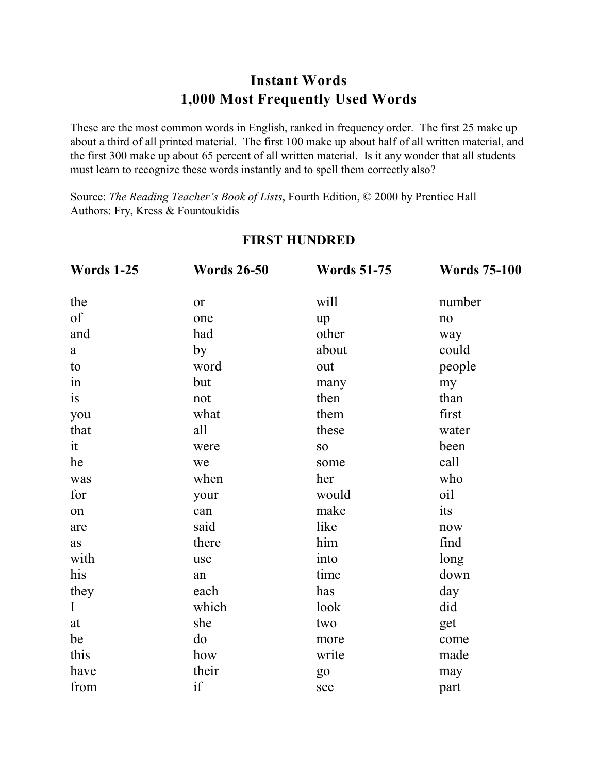# **Instant Words 1,000 Most Frequently Used Words**

These are the most common words in English, ranked in frequency order. The first 25 make up about a third of all printed material. The first 100 make up about half of all written material, and the first 300 make up about 65 percent of all written material. Is it any wonder that all students must learn to recognize these words instantly and to spell them correctly also?

Source: *The Reading Teacher's Book of Lists*, Fourth Edition, © 2000 by Prentice Hall Authors: Fry, Kress & Fountoukidis

| <b>Words 1-25</b> | <b>Words 26-50</b> | <b>Words 51-75</b> | <b>Words 75-100</b> |
|-------------------|--------------------|--------------------|---------------------|
| the               | <b>or</b>          | will               | number              |
| of                | one                | up                 | no                  |
| and               | had                | other              | way                 |
| a                 | by                 | about              | could               |
| to                | word               | out                | people              |
| in                | but                | many               | my                  |
| is                | not                | then               | than                |
| you               | what               | them               | first               |
| that              | all                | these              | water               |
| it                | were               | <b>SO</b>          | been                |
| he                | we                 | some               | call                |
| was               | when               | her                | who                 |
| for               | your               | would              | oil                 |
| on                | can                | make               | its                 |
| are               | said               | like               | now                 |
| <b>as</b>         | there              | him                | find                |
| with              | use                | into               | long                |
| his               | an                 | time               | down                |
| they              | each               | has                | day                 |
| $\mathbf I$       | which              | look               | did                 |
| at                | she                | two                | get                 |
| be                | do                 | more               | come                |
| this              | how                | write              | made                |
| have              | their              | g <sub>o</sub>     | may                 |
| from              | if                 | see                | part                |

#### **FIRST HUNDRED**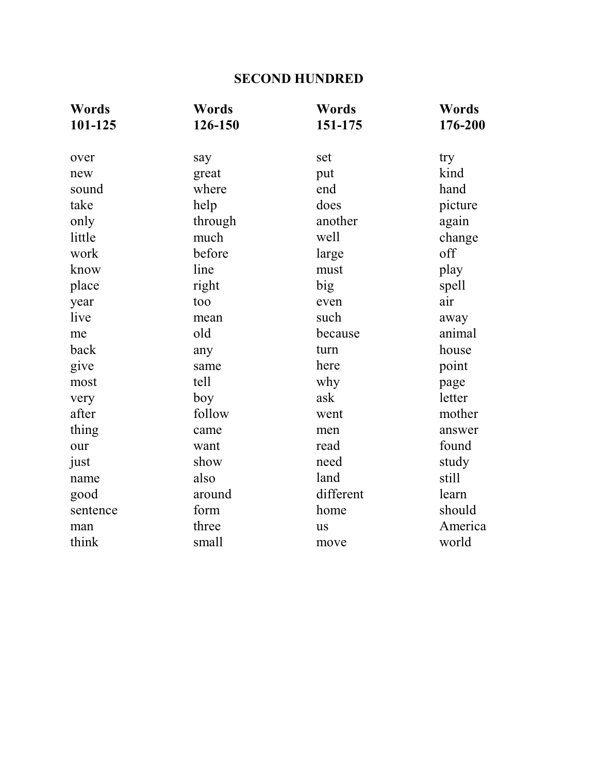# **SECOND HUNDRED**

| Words    | Words   | Words     | Words   |
|----------|---------|-----------|---------|
| 101-125  | 126-150 | 151-175   | 176-200 |
| over     | say     | set       | try     |
| new      | great   | put       | kind    |
| sound    | where   | end       | hand    |
| take     | help    | does      | picture |
| only     | through | another   | again   |
| little   | much    | well      | change  |
| work     | before  | large     | off     |
| know     | line    | must      | play    |
| place    | right   | big       | spell   |
| year     | too     | even      | air     |
| live     | mean    | such      | away    |
| me       | old     | because   | animal  |
| back     | any     | turn      | house   |
| give     | same    | here      | point   |
| most     | tell    | why       | page    |
| very     | boy     | ask       | letter  |
| after    | follow  | went      | mother  |
| thing    | came    | men       | answer  |
| our      | want    | read      | found   |
| just     | show    | need      | study   |
| name     | also    | land      | still   |
| good     | around  | different | learn   |
| sentence | form    | home      | should  |
| man      | three   | <b>us</b> | America |
| think    | small   | move      | world   |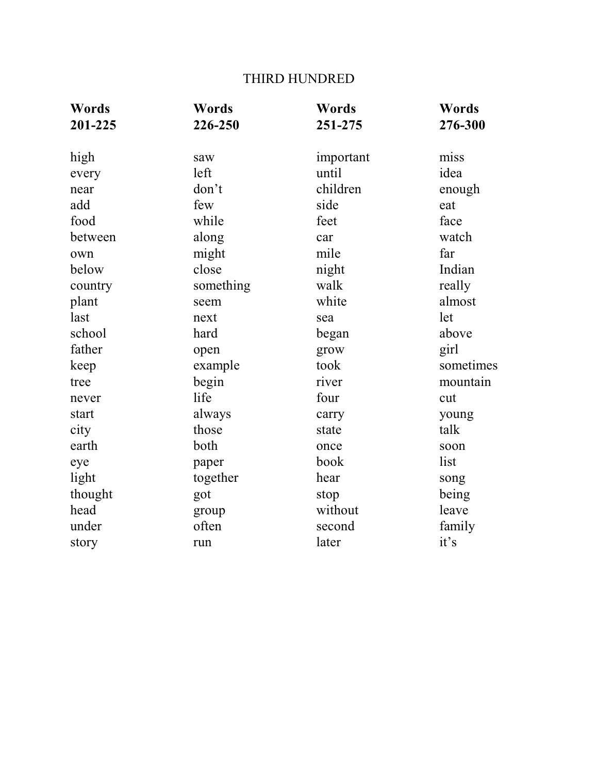# THIRD HUNDRED

| Words   | Words     | Words     | Words     |
|---------|-----------|-----------|-----------|
| 201-225 | 226-250   | 251-275   | 276-300   |
| high    | saw       | important | miss      |
| every   | left      | until     | idea      |
| near    | don't     | children  | enough    |
| add     | few       | side      | eat       |
| food    | while     | feet      | face      |
| between | along     | car       | watch     |
| own     | might     | mile      | far       |
| below   | close     | night     | Indian    |
| country | something | walk      | really    |
| plant   | seem      | white     | almost    |
| last    | next      | sea       | let       |
| school  | hard      | began     | above     |
| father  | open      | grow      | girl      |
| keep    | example   | took      | sometimes |
| tree    | begin     | river     | mountain  |
| never   | life      | four      | cut       |
| start   | always    | carry     | young     |
| city    | those     | state     | talk      |
| earth   | both      | once      | soon      |
| eye     | paper     | book      | list      |
| light   | together  | hear      | song      |
| thought | got       | stop      | being     |
| head    | group     | without   | leave     |
| under   | often     | second    | family    |
| story   | run       | later     | it's      |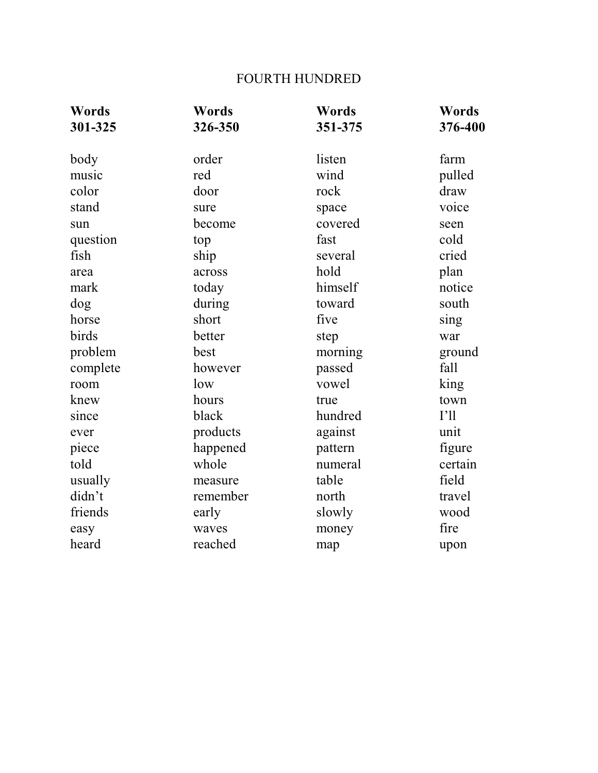# FOURTH HUNDRED

| <b>Words</b> | Words    | <b>Words</b> | Words   |
|--------------|----------|--------------|---------|
| 301-325      | 326-350  | 351-375      | 376-400 |
| body         | order    | listen       | farm    |
| music        | red      | wind         | pulled  |
| color        | door     | rock         | draw    |
| stand        | sure     | space        | voice   |
| sun          | become   | covered      | seen    |
| question     | top      | fast         | cold    |
| fish         | ship     | several      | cried   |
| area         | across   | hold         | plan    |
| mark         | today    | himself      | notice  |
| dog          | during   | toward       | south   |
| horse        | short    | five         | sing    |
| birds        | better   | step         | war     |
| problem      | best     | morning      | ground  |
| complete     | however  | passed       | fall    |
| room         | low      | vowel        | king    |
| knew         | hours    | true         | town    |
| since        | black    | hundred      | I'11    |
| ever         | products | against      | unit    |
| piece        | happened | pattern      | figure  |
| told         | whole    | numeral      | certain |
| usually      | measure  | table        | field   |
| didn't       | remember | north        | travel  |
| friends      | early    | slowly       | wood    |
| easy         | waves    | money        | fire    |
| heard        | reached  | map          | upon    |
|              |          |              |         |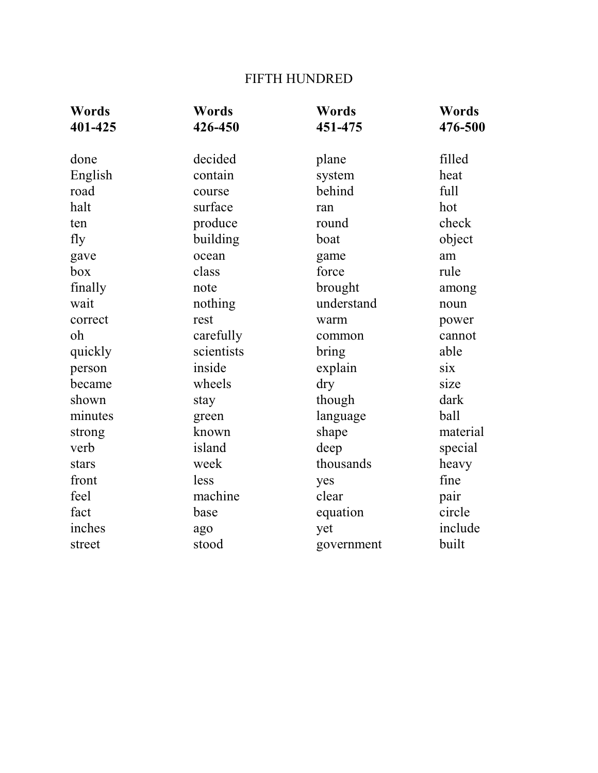# FIFTH HUNDRED

| Words   | Words      | Words      | Words    |
|---------|------------|------------|----------|
| 401-425 | 426-450    | 451-475    | 476-500  |
| done    | decided    | plane      | filled   |
| English | contain    | system     | heat     |
| road    | course     | behind     | full     |
| halt    | surface    | ran        | hot      |
| ten     | produce    | round      | check    |
| fly     | building   | boat       | object   |
| gave    | ocean      | game       | am       |
| box     | class      | force      | rule     |
| finally | note       | brought    | among    |
| wait    | nothing    | understand | noun     |
| correct | rest       | warm       | power    |
| oh      | carefully  | common     | cannot   |
| quickly | scientists | bring      | able     |
| person  | inside     | explain    | six      |
| became  | wheels     | dry        | size     |
| shown   | stay       | though     | dark     |
| minutes | green      | language   | ball     |
| strong  | known      | shape      | material |
| verb    | island     | deep       | special  |
| stars   | week       | thousands  | heavy    |
| front   | less       | yes        | fine     |
| feel    | machine    | clear      | pair     |
| fact    | base       | equation   | circle   |
| inches  | ago        | yet        | include  |
| street  | stood      | government | built    |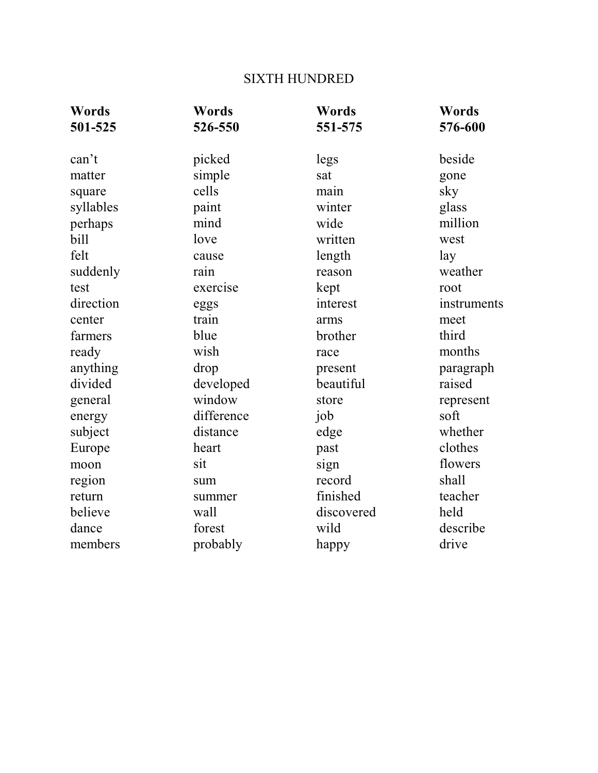# SIXTH HUNDRED

| Words     | Words      | Words      | Words       |
|-----------|------------|------------|-------------|
| 501-525   | 526-550    | 551-575    | 576-600     |
| can't     | picked     | legs       | beside      |
| matter    | simple     | sat        | gone        |
| square    | cells      | main       | sky         |
| syllables | paint      | winter     | glass       |
| perhaps   | mind       | wide       | million     |
| bill      | love       | written    | west        |
| felt      | cause      | length     | lay         |
| suddenly  | rain       | reason     | weather     |
| test      | exercise   | kept       | root        |
| direction | eggs       | interest   | instruments |
| center    | train      | arms       | meet        |
| farmers   | blue       | brother    | third       |
| ready     | wish       | race       | months      |
| anything  | drop       | present    | paragraph   |
| divided   | developed  | beautiful  | raised      |
| general   | window     | store      | represent   |
| energy    | difference | job        | soft        |
| subject   | distance   | edge       | whether     |
| Europe    | heart      | past       | clothes     |
| moon      | sit        | sign       | flowers     |
| region    | sum        | record     | shall       |
| return    | summer     | finished   | teacher     |
| believe   | wall       | discovered | held        |
| dance     | forest     | wild       | describe    |
| members   | probably   | happy      | drive       |
|           |            |            |             |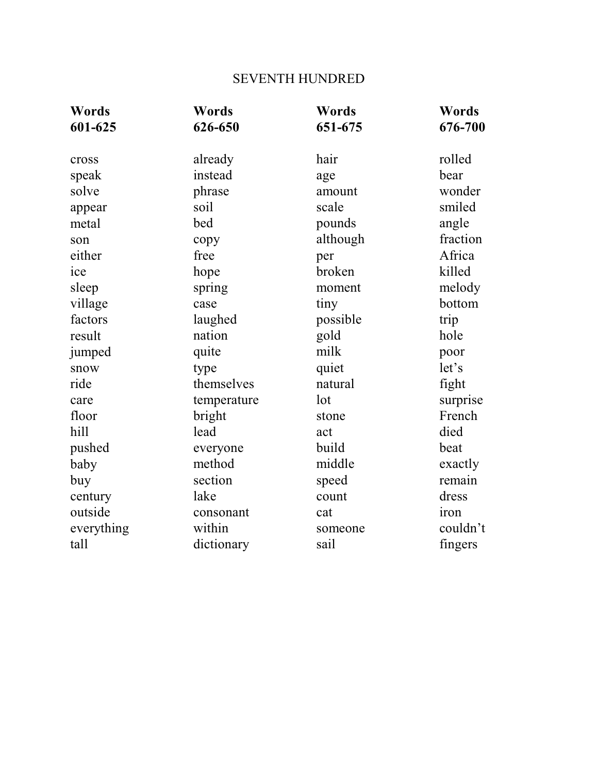# SEVENTH HUNDRED

| Words       | Words                                       | Words                                                |
|-------------|---------------------------------------------|------------------------------------------------------|
| 626-650     | 651-675                                     | 676-700                                              |
|             |                                             |                                                      |
|             |                                             | rolled                                               |
|             |                                             | bear                                                 |
|             |                                             | wonder                                               |
|             |                                             | smiled                                               |
|             |                                             | angle                                                |
| copy        |                                             | fraction                                             |
| free        | per                                         | Africa                                               |
| hope        | broken                                      | killed                                               |
| spring      | moment                                      | melody                                               |
| case        | tiny                                        | bottom                                               |
| laughed     | possible                                    | trip                                                 |
| nation      | gold                                        | hole                                                 |
| quite       | milk                                        | poor                                                 |
| type        | quiet                                       | let's                                                |
| themselves  | natural                                     | fight                                                |
| temperature | lot                                         | surprise                                             |
| bright      | stone                                       | French                                               |
| lead        | act                                         | died                                                 |
| everyone    | build                                       | beat                                                 |
| method      | middle                                      | exactly                                              |
| section     | speed                                       | remain                                               |
| lake        | count                                       | dress                                                |
| consonant   | cat                                         | iron                                                 |
| within      | someone                                     | couldn't                                             |
| dictionary  | sail                                        | fingers                                              |
|             | already<br>instead<br>phrase<br>soil<br>bed | hair<br>age<br>amount<br>scale<br>pounds<br>although |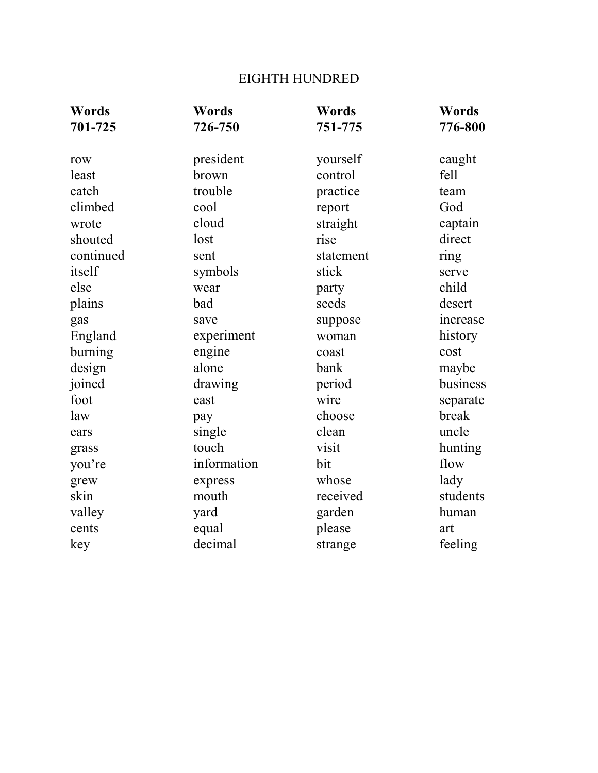# EIGHTH HUNDRED

| Words     | Words       | <b>Words</b> | <b>Words</b> |
|-----------|-------------|--------------|--------------|
| 701-725   | 726-750     | 751-775      | 776-800      |
|           |             |              |              |
| row       | president   | yourself     | caught       |
| least     | brown       | control      | fell         |
| catch     | trouble     | practice     | team         |
| climbed   | cool        | report       | God          |
| wrote     | cloud       | straight     | captain      |
| shouted   | lost        | rise         | direct       |
| continued | sent        | statement    | ring         |
| itself    | symbols     | stick        | serve        |
| else      | wear        | party        | child        |
| plains    | bad         | seeds        | desert       |
| gas       | save        | suppose      | increase     |
| England   | experiment  | woman        | history      |
| burning   | engine      | coast        | cost         |
| design    | alone       | bank         | maybe        |
| joined    | drawing     | period       | business     |
| foot      | east        | wire         | separate     |
| law       | pay         | choose       | break        |
| ears      | single      | clean        | uncle        |
| grass     | touch       | visit        | hunting      |
| you're    | information | bit          | flow         |
| grew      | express     | whose        | lady         |
| skin      | mouth       | received     | students     |
| valley    | yard        | garden       | human        |
| cents     | equal       | please       | art          |
| key       | decimal     | strange      | feeling      |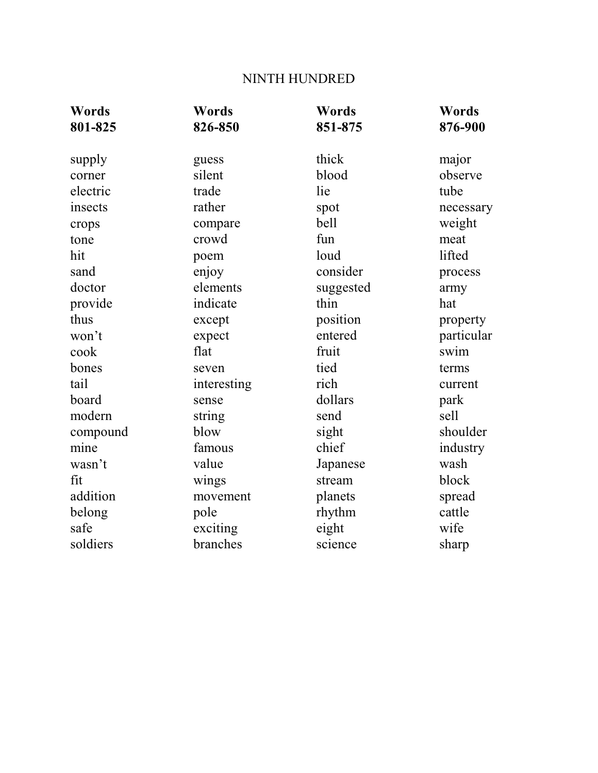# NINTH HUNDRED

| Words<br>801-825 | Words<br>826-850 | Words<br>851-875 | Words<br>876-900 |
|------------------|------------------|------------------|------------------|
| supply           | guess            | thick            | major            |
| corner           | silent           | blood            | observe          |
| electric         | trade            | lie              | tube             |
| insects          | rather           | spot             | necessary        |
| crops            | compare          | bell             | weight           |
| tone             | crowd            | fun              | meat             |
| hit              | poem             | loud             | lifted           |
| sand             | enjoy            | consider         | process          |
| doctor           | elements         | suggested        | army             |
| provide          | indicate         | thin             | hat              |
| thus             | except           | position         | property         |
| won't            | expect           | entered          | particular       |
| cook             | flat             | fruit            | swim             |
| bones            | seven            | tied             | terms            |
| tail             | interesting      | rich             | current          |
| board            | sense            | dollars          | park             |
| modern           | string           | send             | sell             |
| compound         | blow             | sight            | shoulder         |
| mine             | famous           | chief            | industry         |
| wasn't           | value            | Japanese         | wash             |
| fit              | wings            | stream           | block            |
| addition         | movement         | planets          | spread           |
| belong           | pole             | rhythm           | cattle           |
| safe             | exciting         | eight            | wife             |
| soldiers         | branches         | science          | sharp            |